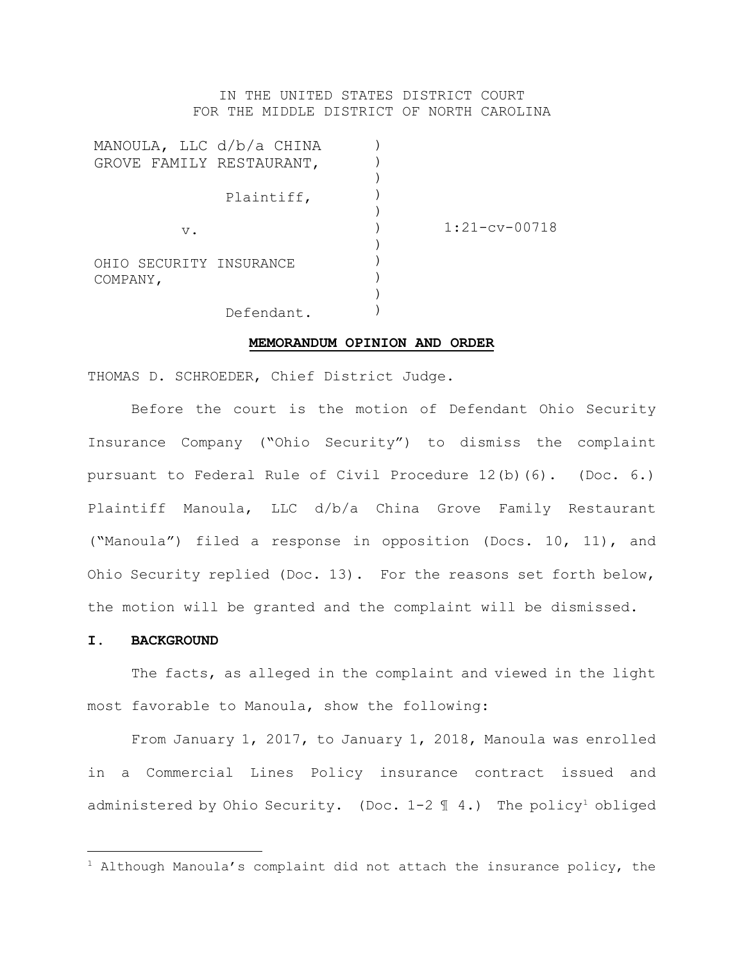# IN THE UNITED STATES DISTRICT COURT FOR THE MIDDLE DISTRICT OF NORTH CAROLINA

|            |                                                                                               | $1:21-cv-00718$ |
|------------|-----------------------------------------------------------------------------------------------|-----------------|
|            |                                                                                               |                 |
|            |                                                                                               |                 |
|            |                                                                                               |                 |
|            |                                                                                               |                 |
| Defendant. |                                                                                               |                 |
|            | MANOULA, LLC d/b/a CHINA<br>GROVE FAMILY RESTAURANT,<br>Plaintiff,<br>OHIO SECURITY INSURANCE |                 |

#### **MEMORANDUM OPINION AND ORDER**

THOMAS D. SCHROEDER, Chief District Judge.

Before the court is the motion of Defendant Ohio Security Insurance Company ("Ohio Security") to dismiss the complaint pursuant to Federal Rule of Civil Procedure 12(b)(6). (Doc. 6.) Plaintiff Manoula, LLC d/b/a China Grove Family Restaurant ("Manoula") filed a response in opposition (Docs. 10, 11), and Ohio Security replied (Doc. 13). For the reasons set forth below, the motion will be granted and the complaint will be dismissed.

### **I. BACKGROUND**

The facts, as alleged in the complaint and viewed in the light most favorable to Manoula, show the following:

From January 1, 2017, to January 1, 2018, Manoula was enrolled in a Commercial Lines Policy insurance contract issued and administered by Ohio Security. (Doc.  $1-2 \text{ } q$  4.) The policy<sup>1</sup> obliged

 $1$  Although Manoula's complaint did not attach the insurance policy, the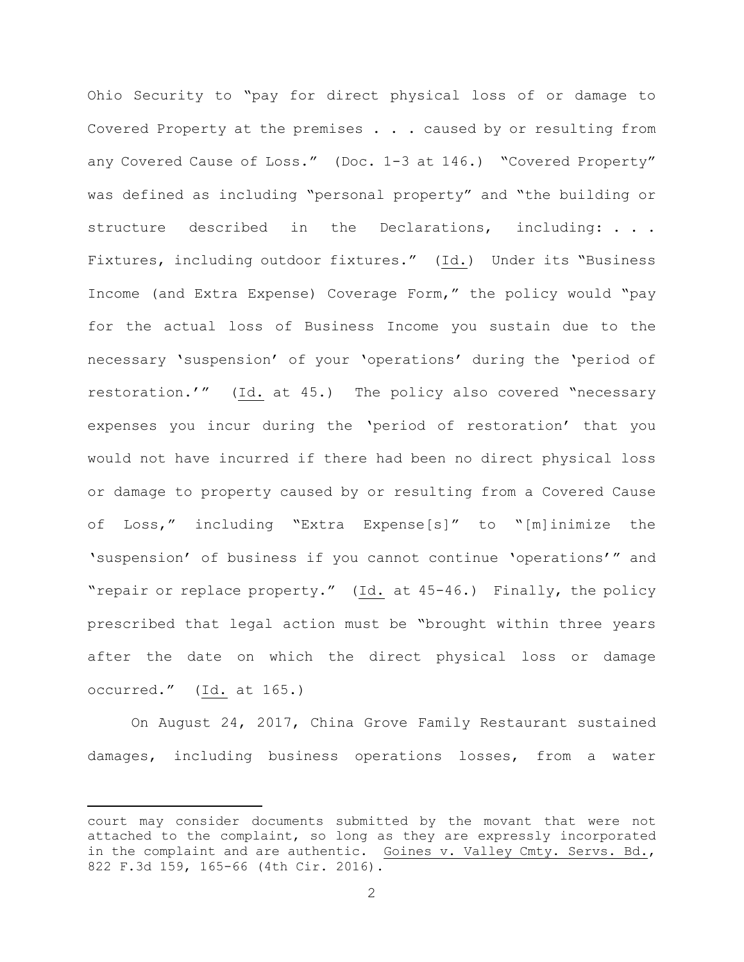Ohio Security to "pay for direct physical loss of or damage to Covered Property at the premises . . . caused by or resulting from any Covered Cause of Loss." (Doc. 1-3 at 146.) "Covered Property" was defined as including "personal property" and "the building or structure described in the Declarations, including: . . . Fixtures, including outdoor fixtures." (Id.) Under its "Business Income (and Extra Expense) Coverage Form," the policy would "pay for the actual loss of Business Income you sustain due to the necessary 'suspension' of your 'operations' during the 'period of restoration.'" (Id. at 45.) The policy also covered "necessary expenses you incur during the 'period of restoration' that you would not have incurred if there had been no direct physical loss or damage to property caused by or resulting from a Covered Cause of Loss," including "Extra Expense[s]" to "[m]inimize the 'suspension' of business if you cannot continue 'operations'" and "repair or replace property." (Id. at 45-46.) Finally, the policy prescribed that legal action must be "brought within three years after the date on which the direct physical loss or damage occurred." (Id. at 165.)

On August 24, 2017, China Grove Family Restaurant sustained damages, including business operations losses, from a water

court may consider documents submitted by the movant that were not attached to the complaint, so long as they are expressly incorporated in the complaint and are authentic. Goines v. Valley Cmty. Servs. Bd., 822 F.3d 159, 165-66 (4th Cir. 2016).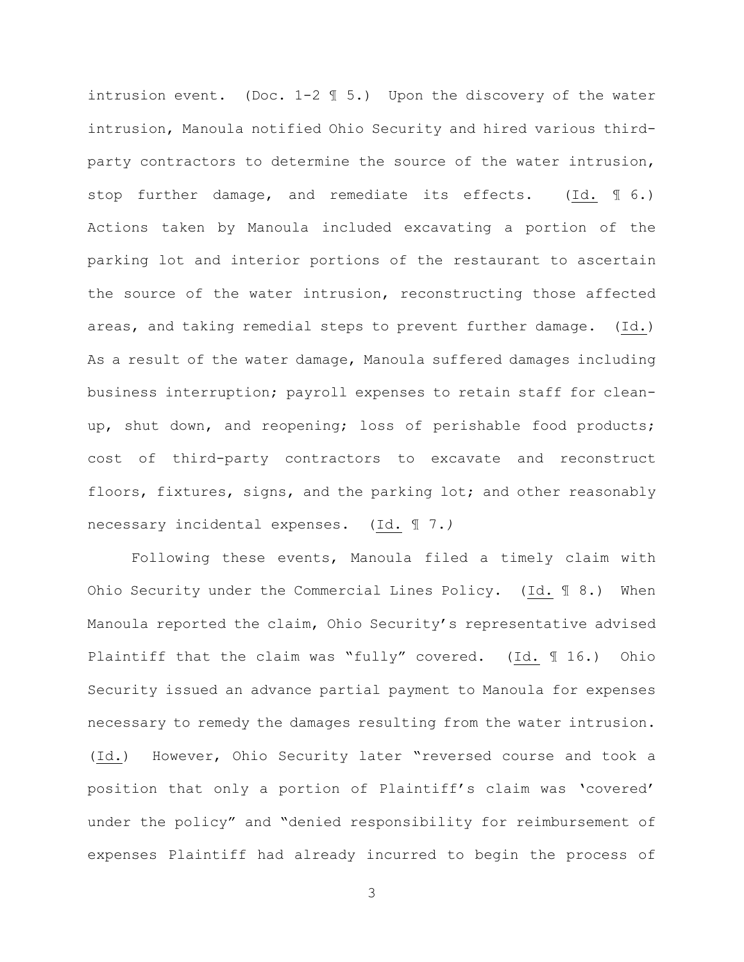intrusion event. (Doc. 1-2 ¶ 5.) Upon the discovery of the water intrusion, Manoula notified Ohio Security and hired various thirdparty contractors to determine the source of the water intrusion, stop further damage, and remediate its effects. (Id. ¶ 6.) Actions taken by Manoula included excavating a portion of the parking lot and interior portions of the restaurant to ascertain the source of the water intrusion, reconstructing those affected areas, and taking remedial steps to prevent further damage. (Id.) As a result of the water damage, Manoula suffered damages including business interruption; payroll expenses to retain staff for cleanup, shut down, and reopening; loss of perishable food products; cost of third-party contractors to excavate and reconstruct floors, fixtures, signs, and the parking lot; and other reasonably necessary incidental expenses. (Id. ¶ 7.*)*

Following these events, Manoula filed a timely claim with Ohio Security under the Commercial Lines Policy. (Id.  $\mathbb{I}$  8.) When Manoula reported the claim, Ohio Security's representative advised Plaintiff that the claim was "fully" covered. (Id. ¶ 16.) Ohio Security issued an advance partial payment to Manoula for expenses necessary to remedy the damages resulting from the water intrusion. (Id.) However, Ohio Security later "reversed course and took a position that only a portion of Plaintiff's claim was 'covered' under the policy" and "denied responsibility for reimbursement of expenses Plaintiff had already incurred to begin the process of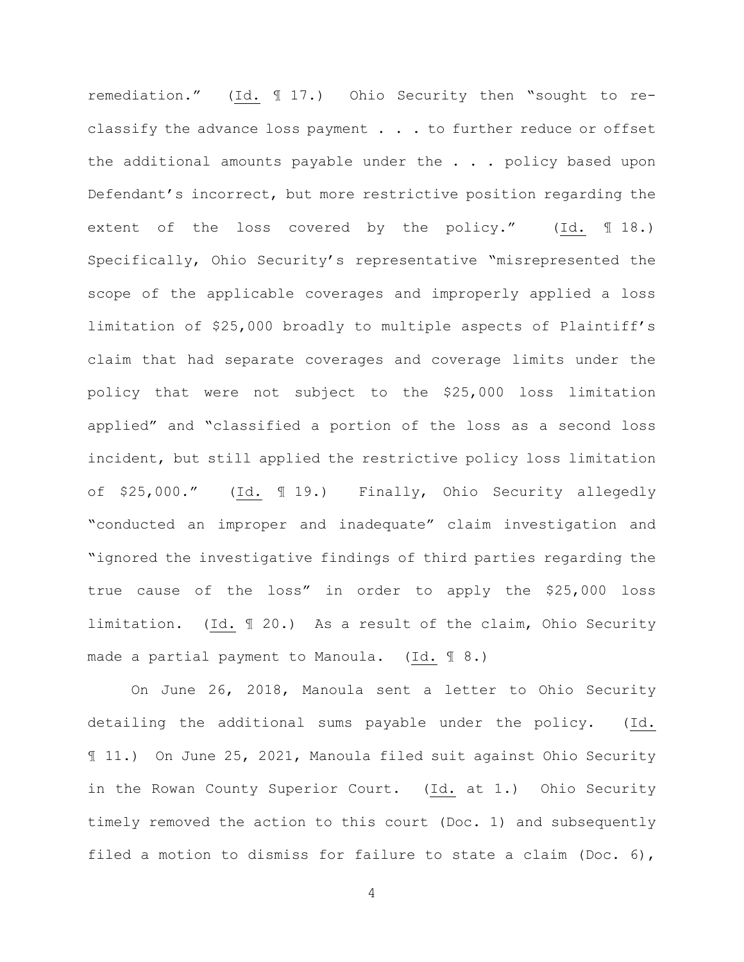remediation." (Id. ¶ 17.) Ohio Security then "sought to reclassify the advance loss payment . . . to further reduce or offset the additional amounts payable under the . . . policy based upon Defendant's incorrect, but more restrictive position regarding the extent of the loss covered by the policy." (Id. ¶ 18.) Specifically, Ohio Security's representative "misrepresented the scope of the applicable coverages and improperly applied a loss limitation of \$25,000 broadly to multiple aspects of Plaintiff's claim that had separate coverages and coverage limits under the policy that were not subject to the \$25,000 loss limitation applied" and "classified a portion of the loss as a second loss incident, but still applied the restrictive policy loss limitation of \$25,000." (Id. ¶ 19.) Finally, Ohio Security allegedly "conducted an improper and inadequate" claim investigation and "ignored the investigative findings of third parties regarding the true cause of the loss" in order to apply the \$25,000 loss limitation. (Id. ¶ 20.) As a result of the claim, Ohio Security made a partial payment to Manoula. (Id. ¶ 8.)

On June 26, 2018, Manoula sent a letter to Ohio Security detailing the additional sums payable under the policy. (Id. ¶ 11.) On June 25, 2021, Manoula filed suit against Ohio Security in the Rowan County Superior Court. (Id. at 1.) Ohio Security timely removed the action to this court (Doc. 1) and subsequently filed a motion to dismiss for failure to state a claim (Doc. 6),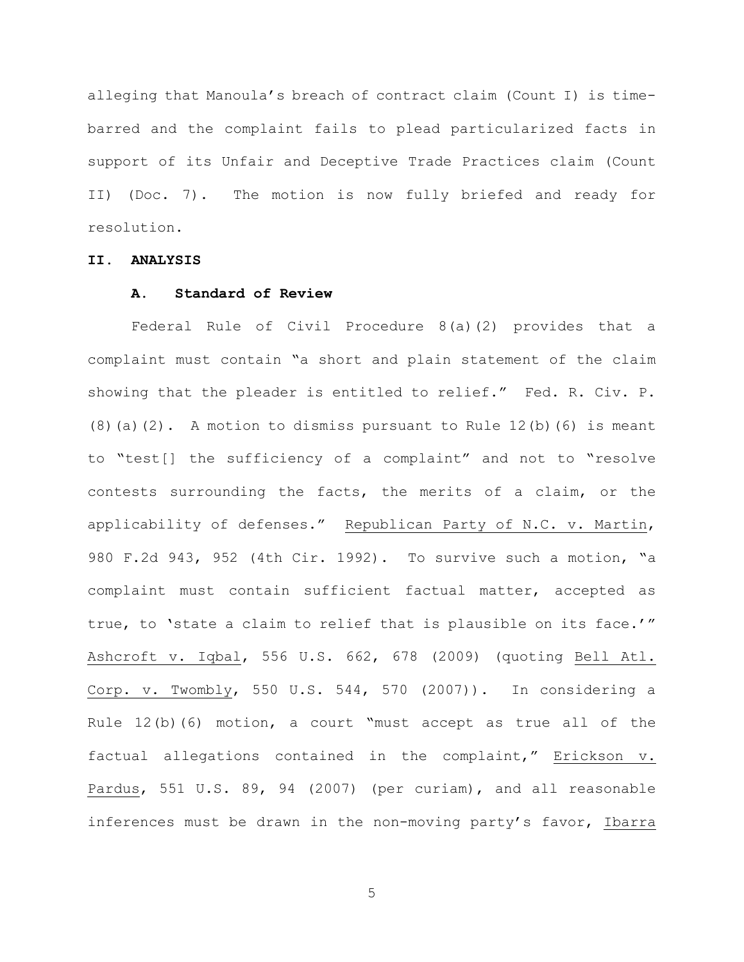alleging that Manoula's breach of contract claim (Count I) is timebarred and the complaint fails to plead particularized facts in support of its Unfair and Deceptive Trade Practices claim (Count II) (Doc. 7). The motion is now fully briefed and ready for resolution.

# **II. ANALYSIS**

# **A. Standard of Review**

Federal Rule of Civil Procedure 8(a)(2) provides that a complaint must contain "a short and plain statement of the claim showing that the pleader is entitled to relief." Fed. R. Civ. P.  $(8)$  (a)(2). A motion to dismiss pursuant to Rule 12(b)(6) is meant to "test[] the sufficiency of a complaint" and not to "resolve contests surrounding the facts, the merits of a claim, or the applicability of defenses." Republican Party of N.C. v. Martin, 980 F.2d 943, 952 (4th Cir. 1992). To survive such a motion, "a complaint must contain sufficient factual matter, accepted as true, to 'state a claim to relief that is plausible on its face.'" Ashcroft v. Iqbal, 556 U.S. 662, 678 (2009) (quoting Bell Atl. Corp. v. Twombly, 550 U.S. 544, 570 (2007)). In considering a Rule 12(b)(6) motion, a court "must accept as true all of the factual allegations contained in the complaint," Erickson v. Pardus, 551 U.S. 89, 94 (2007) (per curiam), and all reasonable inferences must be drawn in the non-moving party's favor, Ibarra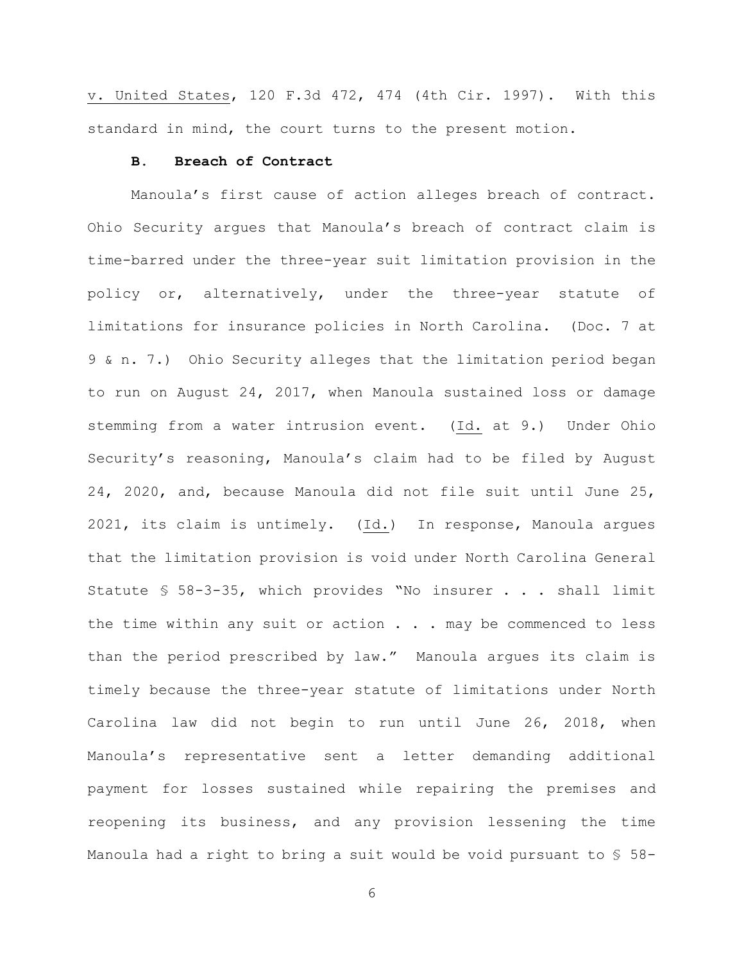v. United States, 120 F.3d 472, 474 (4th Cir. 1997). With this standard in mind, the court turns to the present motion.

# **B. Breach of Contract**

Manoula's first cause of action alleges breach of contract. Ohio Security argues that Manoula's breach of contract claim is time-barred under the three-year suit limitation provision in the policy or, alternatively, under the three-year statute of limitations for insurance policies in North Carolina. (Doc. 7 at 9 & n. 7.) Ohio Security alleges that the limitation period began to run on August 24, 2017, when Manoula sustained loss or damage stemming from a water intrusion event. (Id. at 9.) Under Ohio Security's reasoning, Manoula's claim had to be filed by August 24, 2020, and, because Manoula did not file suit until June 25, 2021, its claim is untimely. (Id.) In response, Manoula argues that the limitation provision is void under North Carolina General Statute § 58-3-35, which provides "No insurer . . . shall limit the time within any suit or action  $\ldots$  . may be commenced to less than the period prescribed by law." Manoula argues its claim is timely because the three-year statute of limitations under North Carolina law did not begin to run until June 26, 2018, when Manoula's representative sent a letter demanding additional payment for losses sustained while repairing the premises and reopening its business, and any provision lessening the time Manoula had a right to bring a suit would be void pursuant to § 58-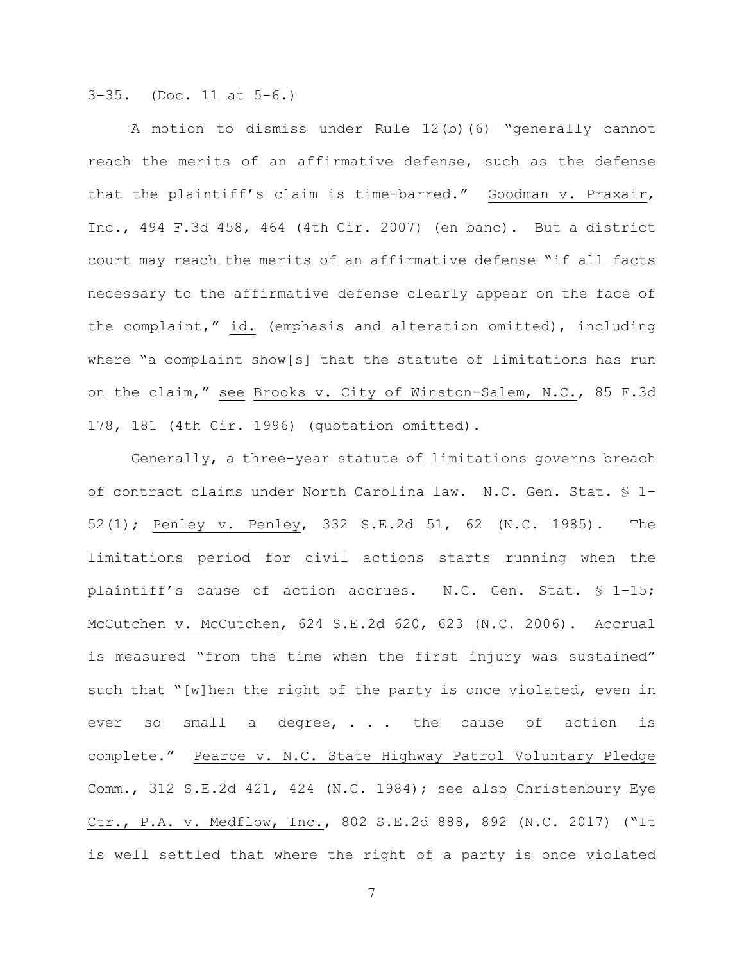3-35. (Doc. 11 at 5-6.)

A motion to dismiss under Rule 12(b)(6) "generally cannot reach the merits of an affirmative defense, such as the defense that the plaintiff's claim is time-barred." Goodman v. Praxair, Inc., 494 F.3d 458, 464 (4th Cir. 2007) (en banc). But a district court may reach the merits of an affirmative defense "if all facts necessary to the affirmative defense clearly appear on the face of the complaint," id. (emphasis and alteration omitted), including where "a complaint show[s] that the statute of limitations has run on the claim," see Brooks v. City of Winston-Salem, N.C., 85 F.3d 178, 181 (4th Cir. 1996) (quotation omitted).

Generally, a three-year statute of limitations governs breach of contract claims under North Carolina law. N.C. Gen. Stat. § 1– 52(1); Penley v. Penley, 332 S.E.2d 51, 62 (N.C. 1985). The limitations period for civil actions starts running when the plaintiff's cause of action accrues. N.C. Gen. Stat. § 1–15; McCutchen v. McCutchen, 624 S.E.2d 620, 623 (N.C. 2006). Accrual is measured "from the time when the first injury was sustained" such that "[w]hen the right of the party is once violated, even in ever so small a degree,  $\cdots$  the cause of action is complete." Pearce v. N.C. State Highway Patrol Voluntary Pledge Comm., 312 S.E.2d 421, 424 (N.C. 1984); see also Christenbury Eye Ctr., P.A. v. Medflow, Inc., 802 S.E.2d 888, 892 (N.C. 2017) ("It is well settled that where the right of a party is once violated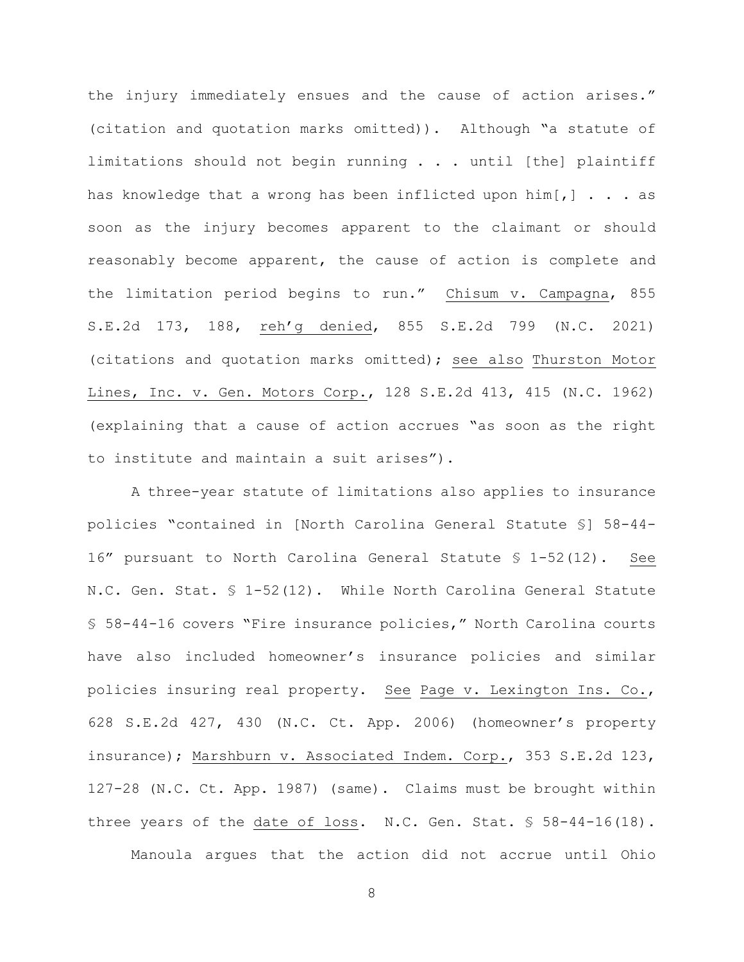the injury immediately ensues and the cause of action arises." (citation and quotation marks omitted)). Although "a statute of limitations should not begin running . . . until [the] plaintiff has knowledge that a wrong has been inflicted upon  $\lim [ , ]$ ... soon as the injury becomes apparent to the claimant or should reasonably become apparent, the cause of action is complete and the limitation period begins to run." Chisum v. Campagna, 855 S.E.2d 173, 188, reh'g denied, 855 S.E.2d 799 (N.C. 2021) (citations and quotation marks omitted); see also Thurston Motor Lines, Inc. v. Gen. Motors Corp., 128 S.E.2d 413, 415 (N.C. 1962) (explaining that a cause of action accrues "as soon as the right to institute and maintain a suit arises").

A three-year statute of limitations also applies to insurance policies "contained in [North Carolina General Statute §] 58-44- 16" pursuant to North Carolina General Statute § 1-52(12). See N.C. Gen. Stat. § 1-52(12). While North Carolina General Statute § 58-44-16 covers "Fire insurance policies," North Carolina courts have also included homeowner's insurance policies and similar policies insuring real property. See Page v. Lexington Ins. Co., 628 S.E.2d 427, 430 (N.C. Ct. App. 2006) (homeowner's property insurance); Marshburn v. Associated Indem. Corp., 353 S.E.2d 123, 127-28 (N.C. Ct. App. 1987) (same). Claims must be brought within three years of the date of loss. N.C. Gen. Stat. § 58-44-16(18).

Manoula argues that the action did not accrue until Ohio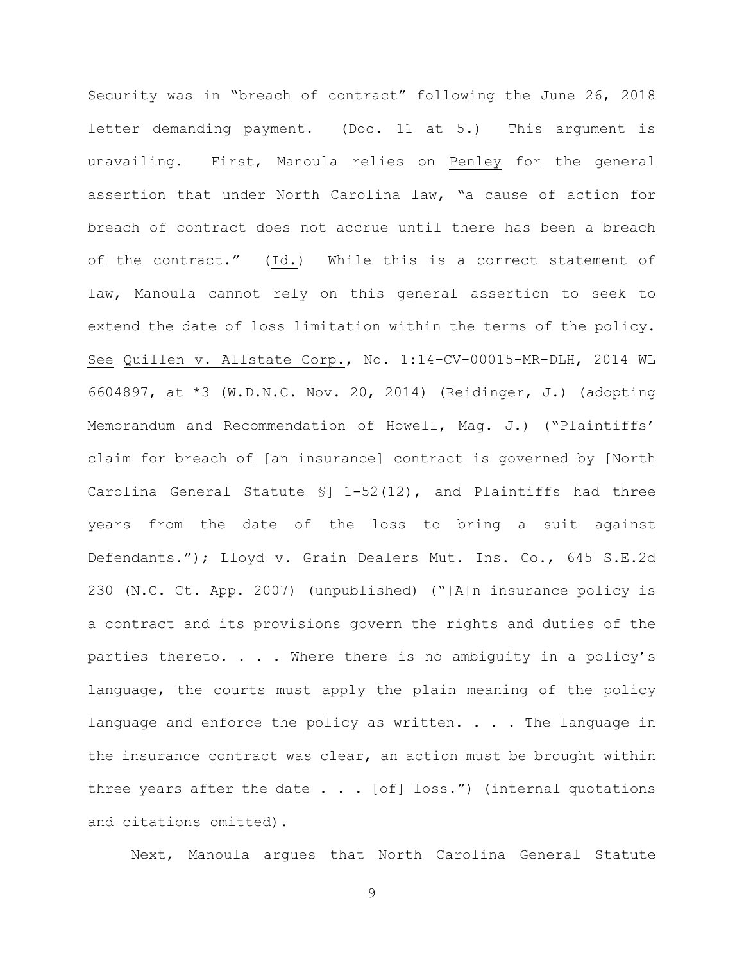Security was in "breach of contract" following the June 26, 2018 letter demanding payment. (Doc. 11 at 5.) This argument is unavailing. First, Manoula relies on Penley for the general assertion that under North Carolina law, "a cause of action for breach of contract does not accrue until there has been a breach of the contract." (Id.) While this is a correct statement of law, Manoula cannot rely on this general assertion to seek to extend the date of loss limitation within the terms of the policy. See Quillen v. Allstate Corp., No. 1:14-CV-00015-MR-DLH, 2014 WL 6604897, at \*3 (W.D.N.C. Nov. 20, 2014) (Reidinger, J.) (adopting Memorandum and Recommendation of Howell, Mag. J.) ("Plaintiffs' claim for breach of [an insurance] contract is governed by [North Carolina General Statute §] 1-52(12), and Plaintiffs had three years from the date of the loss to bring a suit against Defendants."); Lloyd v. Grain Dealers Mut. Ins. Co., 645 S.E.2d 230 (N.C. Ct. App. 2007) (unpublished) ("[A]n insurance policy is a contract and its provisions govern the rights and duties of the parties thereto. . . . Where there is no ambiguity in a policy's language, the courts must apply the plain meaning of the policy language and enforce the policy as written.  $\ldots$  . The language in the insurance contract was clear, an action must be brought within three years after the date  $\ldots$  [of] loss.") (internal quotations and citations omitted).

Next, Manoula argues that North Carolina General Statute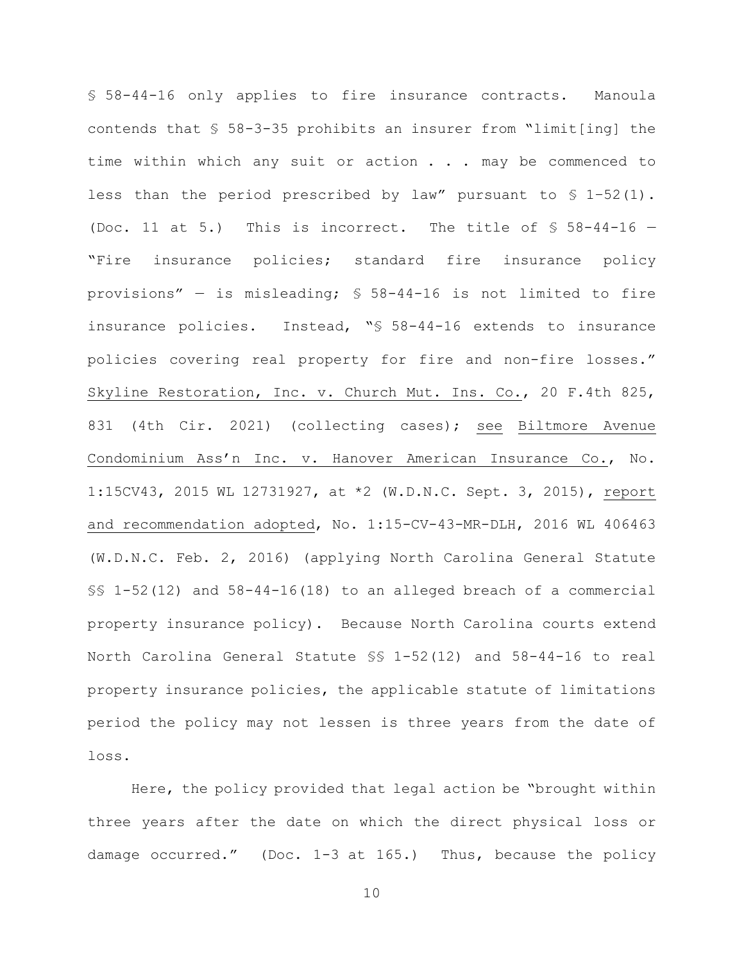§ 58-44-16 only applies to fire insurance contracts. Manoula contends that § 58-3-35 prohibits an insurer from "limit[ing] the time within which any suit or action . . . may be commenced to less than the period prescribed by law" pursuant to  $$ 1-52(1)$ . (Doc. 11 at 5.) This is incorrect. The title of  $$58-44-16$  -"Fire insurance policies; standard fire insurance policy provisions" — is misleading; § 58-44-16 is not limited to fire insurance policies. Instead, "§ 58-44-16 extends to insurance policies covering real property for fire and non-fire losses." Skyline Restoration, Inc. v. Church Mut. Ins. Co., 20 F.4th 825, 831 (4th Cir. 2021) (collecting cases); see Biltmore Avenue Condominium Ass'n Inc. v. Hanover American Insurance Co., No. 1:15CV43, 2015 WL 12731927, at \*2 (W.D.N.C. Sept. 3, 2015), report and recommendation adopted, No. 1:15-CV-43-MR-DLH, 2016 WL 406463 (W.D.N.C. Feb. 2, 2016) (applying North Carolina General Statute §§ 1-52(12) and 58-44-16(18) to an alleged breach of a commercial property insurance policy). Because North Carolina courts extend North Carolina General Statute §§ 1-52(12) and 58-44-16 to real property insurance policies, the applicable statute of limitations period the policy may not lessen is three years from the date of loss.

Here, the policy provided that legal action be "brought within three years after the date on which the direct physical loss or damage occurred." (Doc. 1-3 at 165.) Thus, because the policy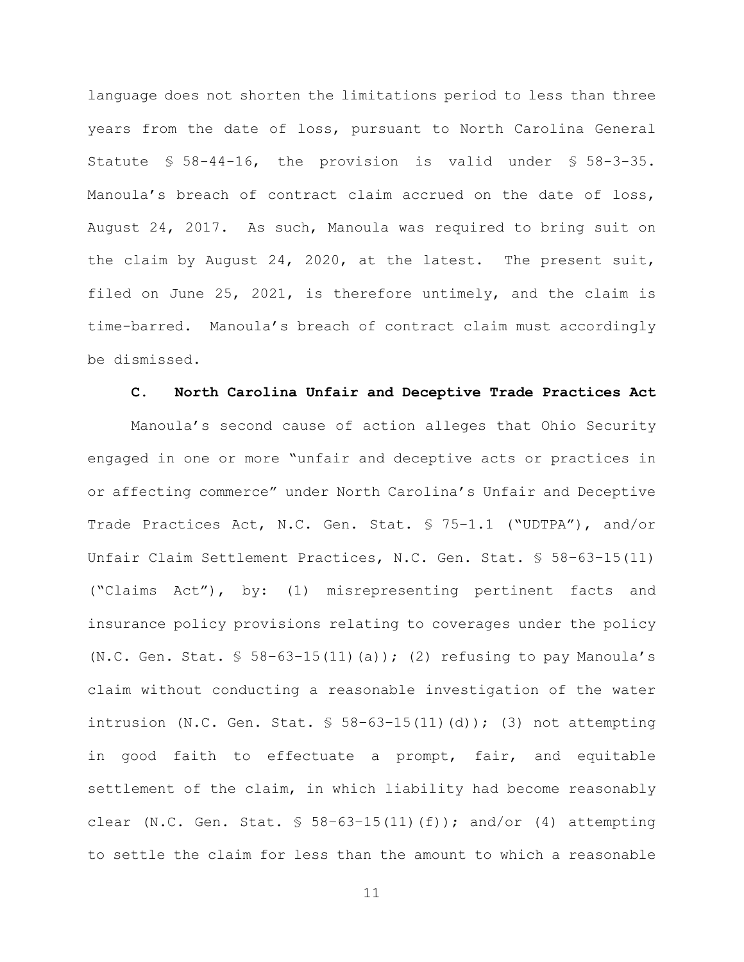language does not shorten the limitations period to less than three years from the date of loss, pursuant to North Carolina General Statute § 58-44-16, the provision is valid under § 58-3-35. Manoula's breach of contract claim accrued on the date of loss, August 24, 2017. As such, Manoula was required to bring suit on the claim by August 24, 2020, at the latest. The present suit, filed on June 25, 2021, is therefore untimely, and the claim is time-barred. Manoula's breach of contract claim must accordingly be dismissed.

### **C. North Carolina Unfair and Deceptive Trade Practices Act**

Manoula's second cause of action alleges that Ohio Security engaged in one or more "unfair and deceptive acts or practices in or affecting commerce" under North Carolina's Unfair and Deceptive Trade Practices Act, N.C. Gen. Stat. § 75–1.1 ("UDTPA"), and/or Unfair Claim Settlement Practices, N.C. Gen. Stat. § 58–63–15(11) ("Claims Act"), by: (1) misrepresenting pertinent facts and insurance policy provisions relating to coverages under the policy (N.C. Gen. Stat.  $$58-63-15(11)(a))$ ; (2) refusing to pay Manoula's claim without conducting a reasonable investigation of the water intrusion (N.C. Gen. Stat.  $$58-63-15(11)(d))$ ; (3) not attempting in good faith to effectuate a prompt, fair, and equitable settlement of the claim, in which liability had become reasonably clear (N.C. Gen. Stat.  $$58-63-15(11)(f)$ ); and/or (4) attempting to settle the claim for less than the amount to which a reasonable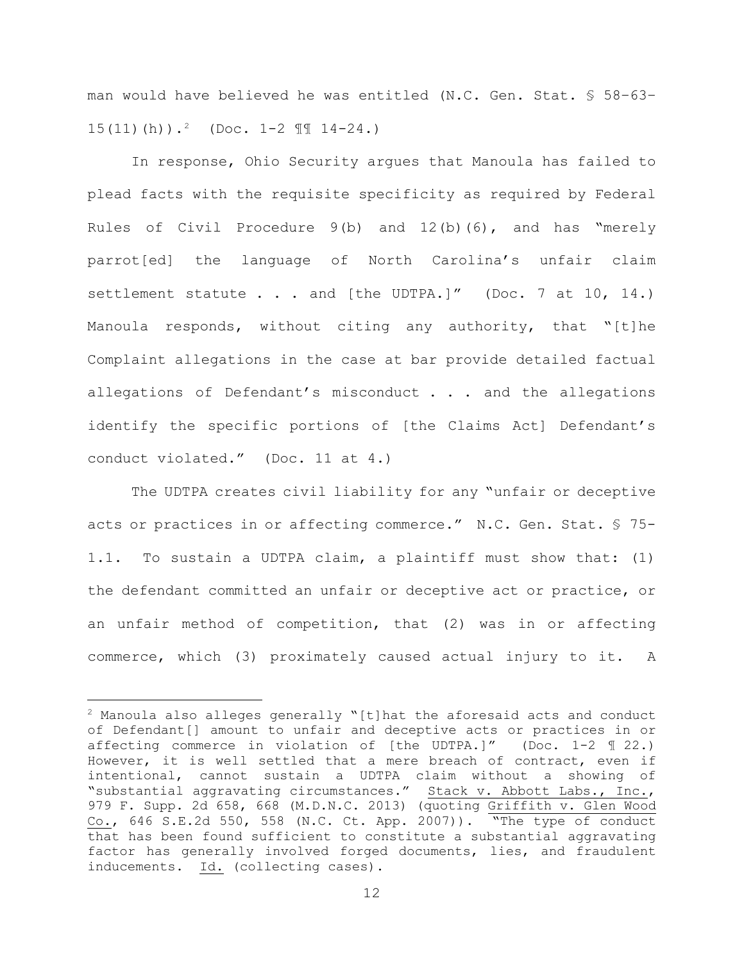man would have believed he was entitled (N.C. Gen. Stat. § 58–63–  $15(11)(h)$ .<sup>2</sup> (Doc.  $1-2$   $\text{II}$   $14-24$ .)

In response, Ohio Security argues that Manoula has failed to plead facts with the requisite specificity as required by Federal Rules of Civil Procedure 9(b) and 12(b)(6), and has "merely parrot[ed] the language of North Carolina's unfair claim settlement statute . . . and [the UDTPA.]" (Doc. 7 at 10, 14.) Manoula responds, without citing any authority, that "[t]he Complaint allegations in the case at bar provide detailed factual allegations of Defendant's misconduct . . . and the allegations identify the specific portions of [the Claims Act] Defendant's conduct violated." (Doc. 11 at 4.)

The UDTPA creates civil liability for any "unfair or deceptive acts or practices in or affecting commerce." N.C. Gen. Stat. § 75- 1.1. To sustain a UDTPA claim, a plaintiff must show that: (1) the defendant committed an unfair or deceptive act or practice, or an unfair method of competition, that (2) was in or affecting commerce, which (3) proximately caused actual injury to it. A

 $2$  Manoula also alleges generally "[t]hat the aforesaid acts and conduct of Defendant[] amount to unfair and deceptive acts or practices in or affecting commerce in violation of [the UDTPA.]" (Doc. 1-2 ¶ 22.) However, it is well settled that a mere breach of contract, even if intentional, cannot sustain a UDTPA claim without a showing of "substantial aggravating circumstances." Stack v. Abbott Labs., Inc., 979 F. Supp. 2d 658, 668 (M.D.N.C. 2013) (quoting Griffith v. Glen Wood Co., 646 S.E.2d 550, 558 (N.C. Ct. App. 2007)). "The type of conduct that has been found sufficient to constitute a substantial aggravating factor has generally involved forged documents, lies, and fraudulent inducements. Id. (collecting cases).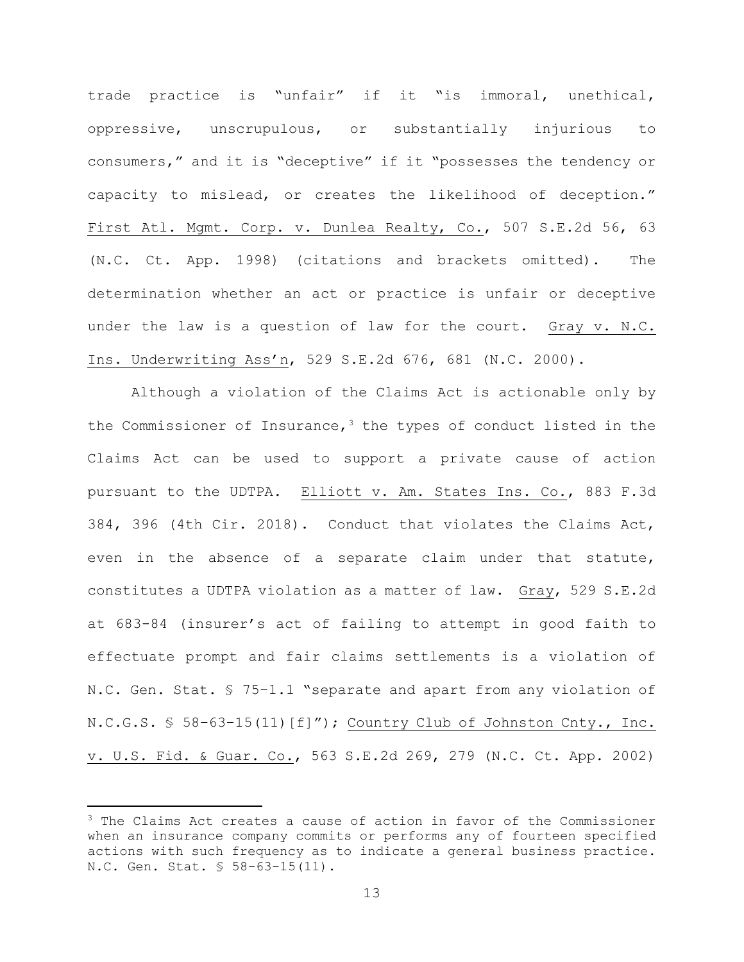trade practice is "unfair" if it "is immoral, unethical, oppressive, unscrupulous, or substantially injurious to consumers," and it is "deceptive" if it "possesses the tendency or capacity to mislead, or creates the likelihood of deception." First Atl. Mgmt. Corp. v. Dunlea Realty, Co., 507 S.E.2d 56, 63 (N.C. Ct. App. 1998) (citations and brackets omitted). The determination whether an act or practice is unfair or deceptive under the law is a question of law for the court. Gray v. N.C. Ins. Underwriting Ass'n, 529 S.E.2d 676, 681 (N.C. 2000).

Although a violation of the Claims Act is actionable only by the Commissioner of Insurance,  $3$  the types of conduct listed in the Claims Act can be used to support a private cause of action pursuant to the UDTPA. Elliott v. Am. States Ins. Co., 883 F.3d 384, 396 (4th Cir. 2018). Conduct that violates the Claims Act, even in the absence of a separate claim under that statute, constitutes a UDTPA violation as a matter of law. Gray, 529 S.E.2d at 683-84 (insurer's act of failing to attempt in good faith to effectuate prompt and fair claims settlements is a violation of N.C. Gen. Stat. § 75–1.1 "separate and apart from any violation of N.C.G.S. § 58-63-15(11)[f]"); Country Club of Johnston Cnty., Inc. v. U.S. Fid. & Guar. Co., 563 S.E.2d 269, 279 (N.C. Ct. App. 2002)

<sup>&</sup>lt;sup>3</sup> The Claims Act creates a cause of action in favor of the Commissioner when an insurance company commits or performs any of fourteen specified actions with such frequency as to indicate a general business practice. N.C. Gen. Stat. § 58-63-15(11).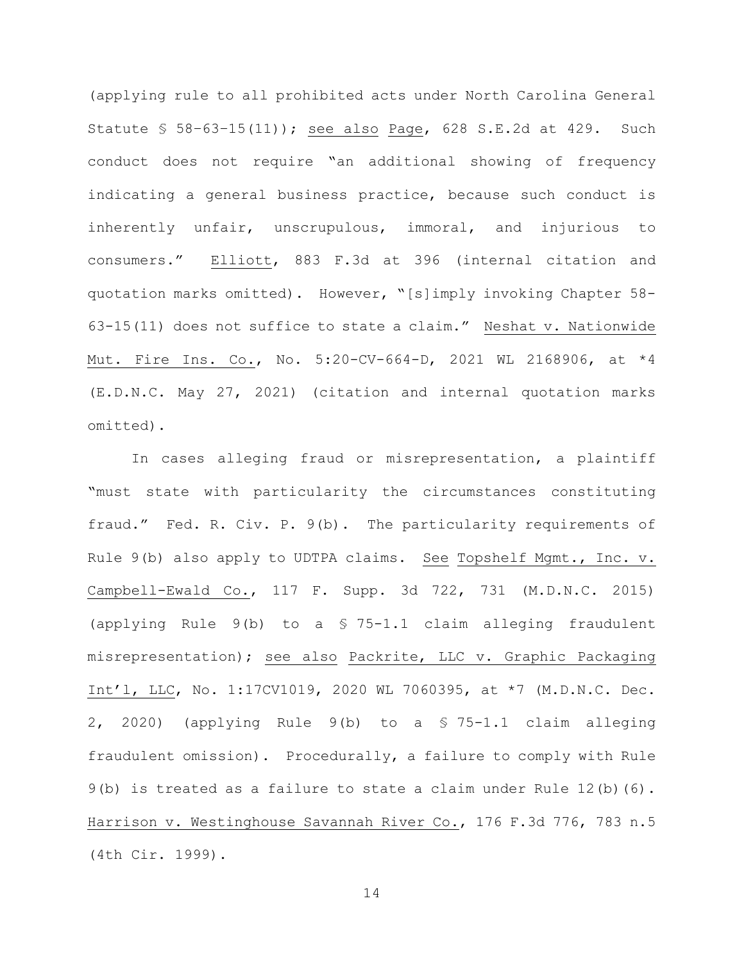(applying rule to all prohibited acts under North Carolina General Statute § 58–63–15(11)); see also Page, 628 S.E.2d at 429. Such conduct does not require "an additional showing of frequency indicating a general business practice, because such conduct is inherently unfair, unscrupulous, immoral, and injurious to consumers." Elliott, 883 F.3d at 396 (internal citation and quotation marks omitted). However, "[s]imply invoking Chapter 58- 63-15(11) does not suffice to state a claim." Neshat v. Nationwide Mut. Fire Ins. Co., No. 5:20-CV-664-D, 2021 WL 2168906, at \*4 (E.D.N.C. May 27, 2021) (citation and internal quotation marks omitted).

In cases alleging fraud or misrepresentation, a plaintiff "must state with particularity the circumstances constituting fraud." Fed. R. Civ. P. 9(b). The particularity requirements of Rule 9(b) also apply to UDTPA claims. See Topshelf Mgmt., Inc. v. Campbell-Ewald Co., 117 F. Supp. 3d 722, 731 (M.D.N.C. 2015) (applying Rule 9(b) to a § 75-1.1 claim alleging fraudulent misrepresentation); see also Packrite, LLC v. Graphic Packaging Int'l, LLC, No. 1:17CV1019, 2020 WL 7060395, at \*7 (M.D.N.C. Dec. 2, 2020) (applying Rule 9(b) to a § 75-1.1 claim alleging fraudulent omission). Procedurally, a failure to comply with Rule  $9(b)$  is treated as a failure to state a claim under Rule  $12(b)(6)$ . Harrison v. Westinghouse Savannah River Co., 176 F.3d 776, 783 n.5 (4th Cir. 1999).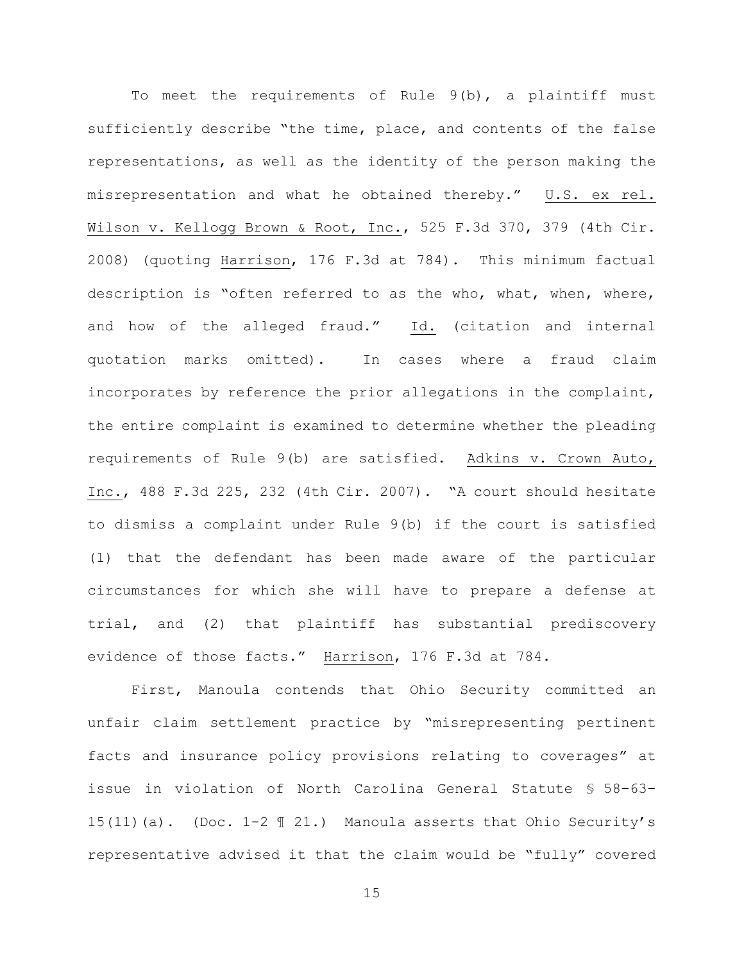To meet the requirements of Rule 9(b), a plaintiff must sufficiently describe "the time, place, and contents of the false representations, as well as the identity of the person making the misrepresentation and what he obtained thereby." U.S. ex rel. Wilson v. Kellogg Brown & Root, Inc., 525 F.3d 370, 379 (4th Cir. 2008) (quoting Harrison, 176 F.3d at 784). This minimum factual description is "often referred to as the who, what, when, where, and how of the alleged fraud." Id. (citation and internal quotation marks omitted). In cases where a fraud claim incorporates by reference the prior allegations in the complaint, the entire complaint is examined to determine whether the pleading requirements of Rule 9(b) are satisfied. Adkins v. Crown Auto, Inc., 488 F.3d 225, 232 (4th Cir. 2007). "A court should hesitate to dismiss a complaint under Rule 9(b) if the court is satisfied (1) that the defendant has been made aware of the particular circumstances for which she will have to prepare a defense at trial, and (2) that plaintiff has substantial prediscovery evidence of those facts." Harrison, 176 F.3d at 784.

First, Manoula contends that Ohio Security committed an unfair claim settlement practice by "misrepresenting pertinent facts and insurance policy provisions relating to coverages" at issue in violation of North Carolina General Statute § 58–63– 15(11)(a). (Doc. 1-2 ¶ 21.) Manoula asserts that Ohio Security's representative advised it that the claim would be "fully" covered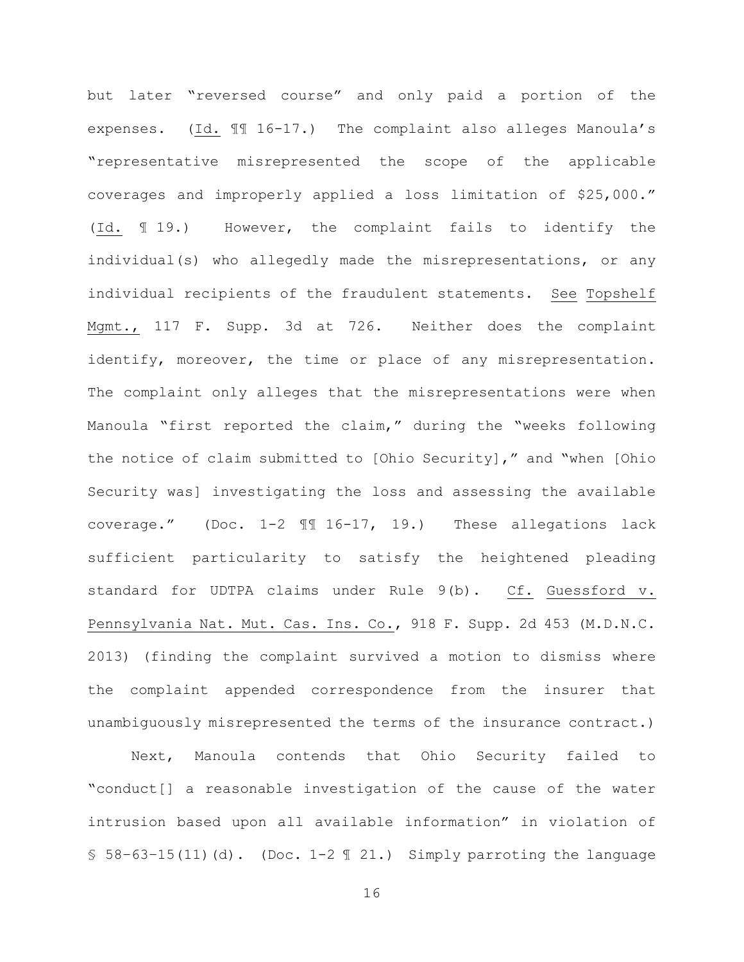but later "reversed course" and only paid a portion of the expenses. (Id. ¶¶ 16-17.) The complaint also alleges Manoula's "representative misrepresented the scope of the applicable coverages and improperly applied a loss limitation of \$25,000." (Id. ¶ 19.) However, the complaint fails to identify the individual(s) who allegedly made the misrepresentations, or any individual recipients of the fraudulent statements. See Topshelf Mgmt., 117 F. Supp. 3d at 726. Neither does the complaint identify, moreover, the time or place of any misrepresentation. The complaint only alleges that the misrepresentations were when Manoula "first reported the claim," during the "weeks following the notice of claim submitted to [Ohio Security]," and "when [Ohio Security was] investigating the loss and assessing the available coverage." (Doc. 1-2 ¶¶ 16-17, 19.) These allegations lack sufficient particularity to satisfy the heightened pleading standard for UDTPA claims under Rule 9(b). Cf. Guessford v. Pennsylvania Nat. Mut. Cas. Ins. Co., 918 F. Supp. 2d 453 (M.D.N.C. 2013) (finding the complaint survived a motion to dismiss where the complaint appended correspondence from the insurer that unambiguously misrepresented the terms of the insurance contract.)

Next, Manoula contends that Ohio Security failed to "conduct[] a reasonable investigation of the cause of the water intrusion based upon all available information" in violation of  $$58-63-15(11)(d)$ . (Doc. 1-2  $$21$ .) Simply parroting the language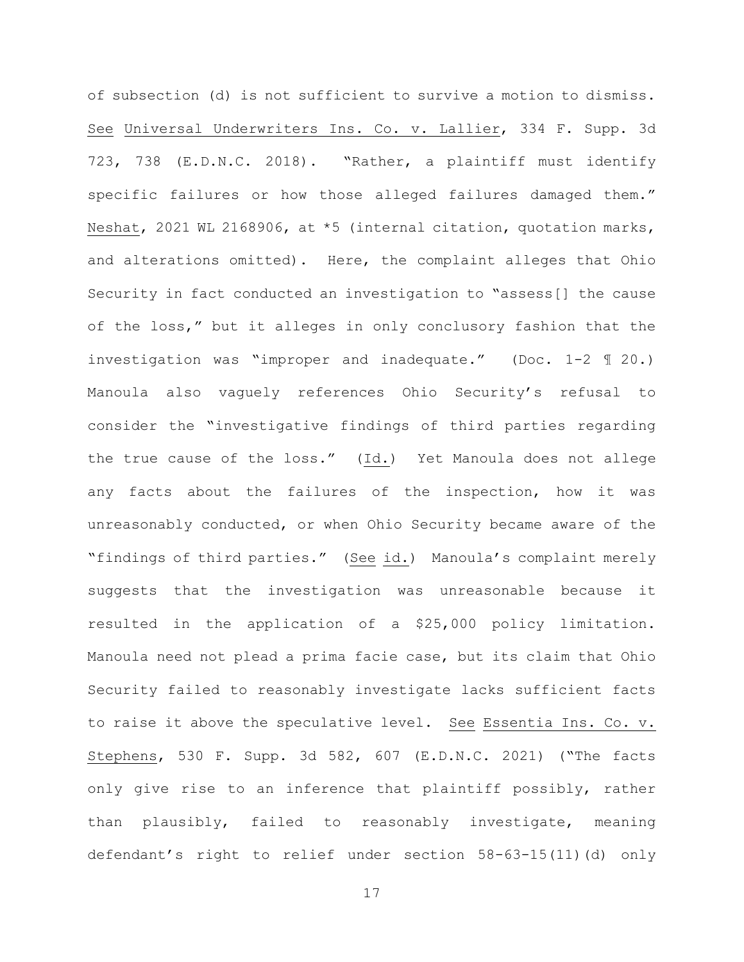of subsection (d) is not sufficient to survive a motion to dismiss. See Universal Underwriters Ins. Co. v. Lallier, 334 F. Supp. 3d 723, 738 (E.D.N.C. 2018). "Rather, a plaintiff must identify specific failures or how those alleged failures damaged them." Neshat, 2021 WL 2168906, at \*5 (internal citation, quotation marks, and alterations omitted). Here, the complaint alleges that Ohio Security in fact conducted an investigation to "assess[] the cause of the loss," but it alleges in only conclusory fashion that the investigation was "improper and inadequate." (Doc. 1-2 ¶ 20.) Manoula also vaguely references Ohio Security's refusal to consider the "investigative findings of third parties regarding the true cause of the loss." (Id.) Yet Manoula does not allege any facts about the failures of the inspection, how it was unreasonably conducted, or when Ohio Security became aware of the "findings of third parties." (See id.) Manoula's complaint merely suggests that the investigation was unreasonable because it resulted in the application of a \$25,000 policy limitation. Manoula need not plead a prima facie case, but its claim that Ohio Security failed to reasonably investigate lacks sufficient facts to raise it above the speculative level. See Essentia Ins. Co. v. Stephens, 530 F. Supp. 3d 582, 607 (E.D.N.C. 2021) ("The facts only give rise to an inference that plaintiff possibly, rather than plausibly, failed to reasonably investigate, meaning defendant's right to relief under section 58-63-15(11)(d) only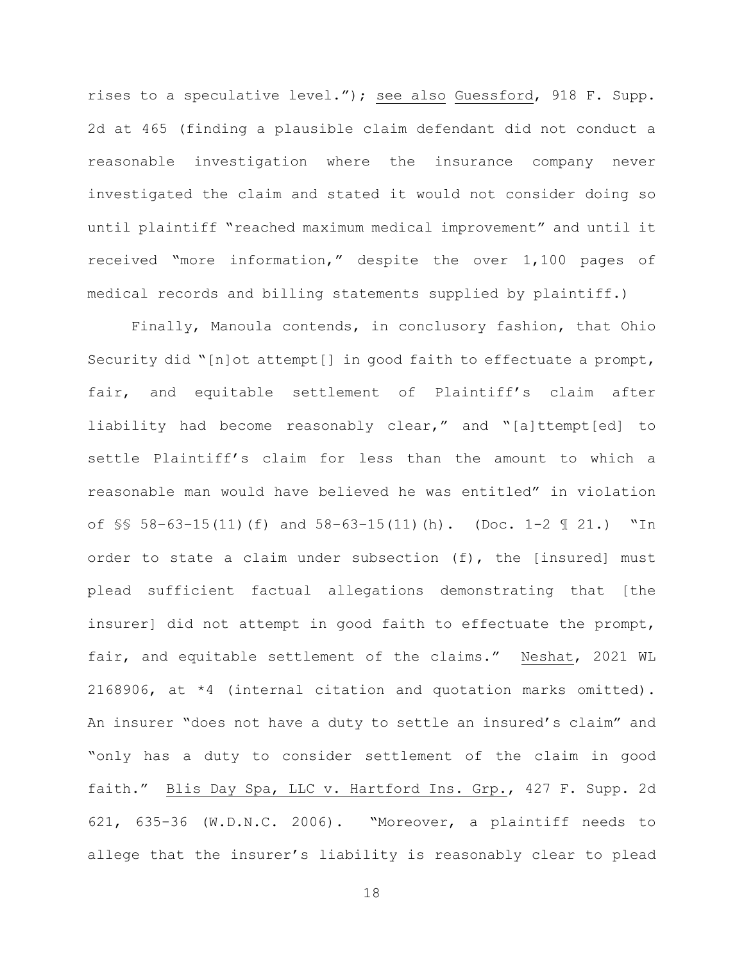rises to a speculative level."); see also Guessford, 918 F. Supp. 2d at 465 (finding a plausible claim defendant did not conduct a reasonable investigation where the insurance company never investigated the claim and stated it would not consider doing so until plaintiff "reached maximum medical improvement" and until it received "more information," despite the over 1,100 pages of medical records and billing statements supplied by plaintiff.)

Finally, Manoula contends, in conclusory fashion, that Ohio Security did "[n]ot attempt[] in good faith to effectuate a prompt, fair, and equitable settlement of Plaintiff's claim after liability had become reasonably clear," and "[a]ttempt[ed] to settle Plaintiff's claim for less than the amount to which a reasonable man would have believed he was entitled" in violation of  $\S$ \$ 58-63-15(11)(f) and  $58-63-15(11)$ (h). (Doc. 1-2  $\S$  21.) "In order to state a claim under subsection (f), the [insured] must plead sufficient factual allegations demonstrating that [the insurer] did not attempt in good faith to effectuate the prompt, fair, and equitable settlement of the claims." Neshat, 2021 WL 2168906, at \*4 (internal citation and quotation marks omitted). An insurer "does not have a duty to settle an insured's claim" and "only has a duty to consider settlement of the claim in good faith." Blis Day Spa, LLC v. Hartford Ins. Grp., 427 F. Supp. 2d 621, 635-36 (W.D.N.C. 2006). "Moreover, a plaintiff needs to allege that the insurer's liability is reasonably clear to plead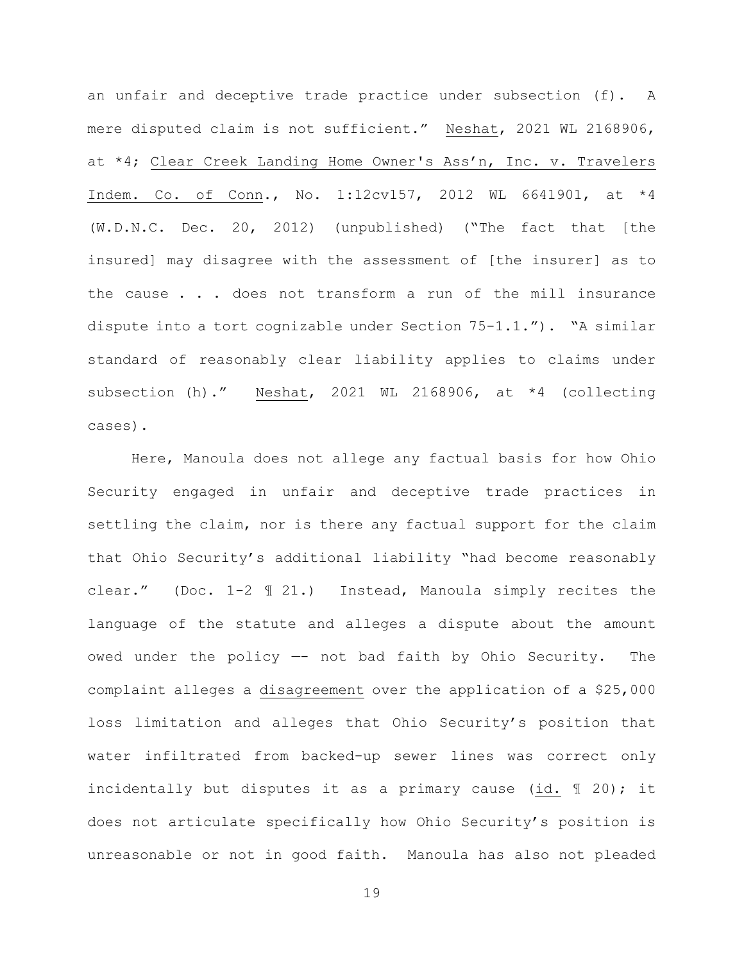an unfair and deceptive trade practice under subsection (f). A mere disputed claim is not sufficient." Neshat, 2021 WL 2168906, at \*4; Clear Creek Landing Home Owner's Ass'n, Inc. v. Travelers Indem. Co. of Conn., No. 1:12cv157, 2012 WL 6641901, at \*4 (W.D.N.C. Dec. 20, 2012) (unpublished) ("The fact that [the insured] may disagree with the assessment of [the insurer] as to the cause . . . does not transform a run of the mill insurance dispute into a tort cognizable under Section 75-1.1."). "A similar standard of reasonably clear liability applies to claims under subsection (h)." Neshat, 2021 WL 2168906, at \*4 (collecting cases).

Here, Manoula does not allege any factual basis for how Ohio Security engaged in unfair and deceptive trade practices in settling the claim, nor is there any factual support for the claim that Ohio Security's additional liability "had become reasonably clear." (Doc. 1-2 ¶ 21.) Instead, Manoula simply recites the language of the statute and alleges a dispute about the amount owed under the policy —- not bad faith by Ohio Security. The complaint alleges a disagreement over the application of a \$25,000 loss limitation and alleges that Ohio Security's position that water infiltrated from backed-up sewer lines was correct only incidentally but disputes it as a primary cause (id. ¶ 20); it does not articulate specifically how Ohio Security's position is unreasonable or not in good faith. Manoula has also not pleaded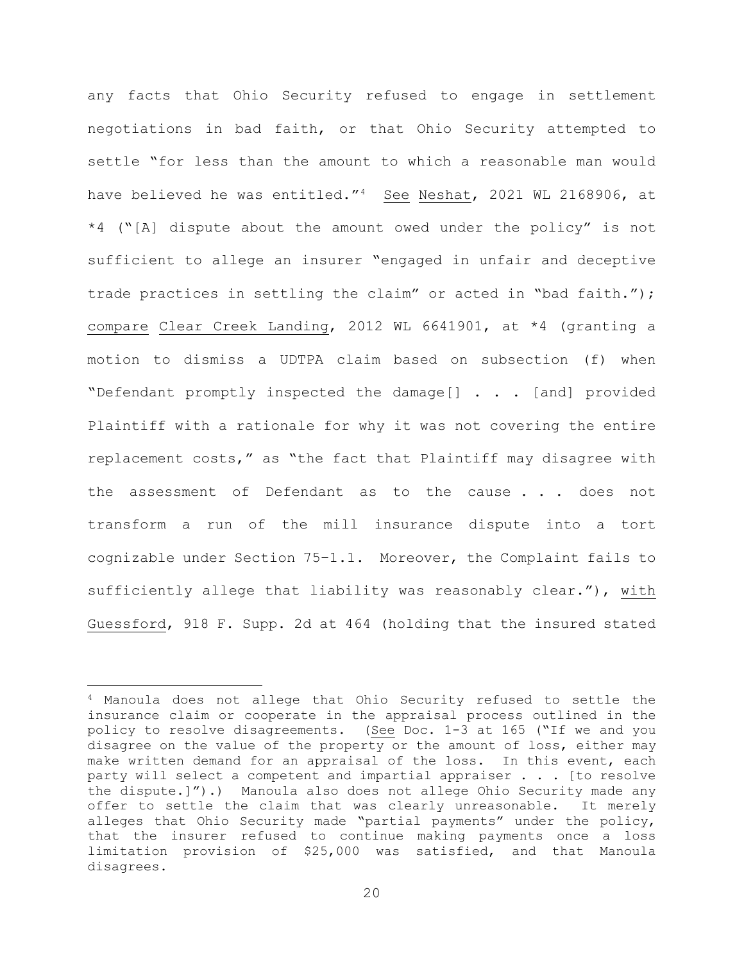any facts that Ohio Security refused to engage in settlement negotiations in bad faith, or that Ohio Security attempted to settle "for less than the amount to which a reasonable man would have believed he was entitled."4 See Neshat, 2021 WL 2168906, at \*4 ("[A] dispute about the amount owed under the policy" is not sufficient to allege an insurer "engaged in unfair and deceptive trade practices in settling the claim" or acted in "bad faith."); compare Clear Creek Landing, 2012 WL 6641901, at \*4 (granting a motion to dismiss a UDTPA claim based on subsection (f) when "Defendant promptly inspected the damage[] . . . [and] provided Plaintiff with a rationale for why it was not covering the entire replacement costs," as "the fact that Plaintiff may disagree with the assessment of Defendant as to the cause . . . does not transform a run of the mill insurance dispute into a tort cognizable under Section 75–1.1. Moreover, the Complaint fails to sufficiently allege that liability was reasonably clear."), with Guessford, 918 F. Supp. 2d at 464 (holding that the insured stated

<sup>4</sup> Manoula does not allege that Ohio Security refused to settle the insurance claim or cooperate in the appraisal process outlined in the policy to resolve disagreements. (See Doc. 1-3 at 165 ("If we and you disagree on the value of the property or the amount of loss, either may make written demand for an appraisal of the loss. In this event, each party will select a competent and impartial appraiser . . . [to resolve the dispute.]").) Manoula also does not allege Ohio Security made any offer to settle the claim that was clearly unreasonable. It merely alleges that Ohio Security made "partial payments" under the policy, that the insurer refused to continue making payments once a loss limitation provision of \$25,000 was satisfied, and that Manoula disagrees.